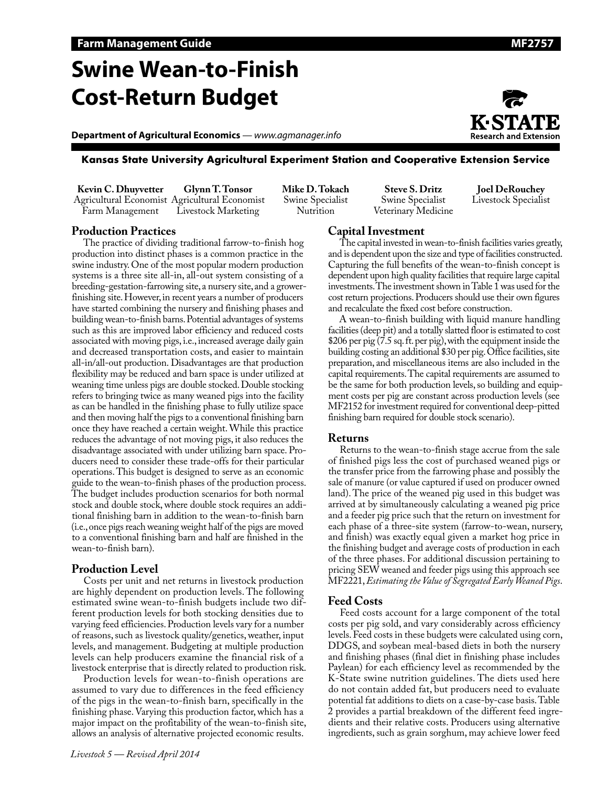# **Swine Wean-to-Finish Cost-Return Budget**

**Department of Agricultural Economics** *— www.agmanager.info*





#### **Kansas State University Agricultural Experiment Station and Cooperative Extension Service**

**Kevin C. Dhuyvetter** Agricultural Economist Agricultural Economist Farm Management **Glynn T. Tonsor** Livestock Marketing

**Mike D. Tokach** Swine Specialist Nutrition

**Steve S. Dritz** Swine Specialist Veterinary Medicine

**Joel DeRouchey** Livestock Specialist

### **Production Practices**

The practice of dividing traditional farrow-to-finish hog production into distinct phases is a common practice in the swine industry. One of the most popular modern production systems is a three site all-in, all-out system consisting of a breeding-gestation-farrowing site, a nursery site, and a growerfinishing site. However, in recent years a number of producers have started combining the nursery and finishing phases and building wean-to-finish barns. Potential advantages of systems such as this are improved labor efficiency and reduced costs associated with moving pigs, i.e., increased average daily gain and decreased transportation costs, and easier to maintain all-in/all-out production. Disadvantages are that production flexibility may be reduced and barn space is under utilized at weaning time unless pigs are double stocked. Double stocking refers to bringing twice as many weaned pigs into the facility as can be handled in the finishing phase to fully utilize space and then moving half the pigs to a conventional finishing barn once they have reached a certain weight. While this practice reduces the advantage of not moving pigs, it also reduces the disadvantage associated with under utilizing barn space. Producers need to consider these trade-offs for their particular operations. This budget is designed to serve as an economic guide to the wean-to-finish phases of the production process. The budget includes production scenarios for both normal stock and double stock, where double stock requires an additional finishing barn in addition to the wean-to-finish barn (i.e., once pigs reach weaning weight half of the pigs are moved to a conventional finishing barn and half are finished in the wean-to-finish barn).

### **Production Level**

Costs per unit and net returns in livestock production are highly dependent on production levels. The following estimated swine wean-to-finish budgets include two different production levels for both stocking densities due to varying feed efficiencies. Production levels vary for a number of reasons, such as livestock quality/genetics, weather, input levels, and management. Budgeting at multiple production levels can help producers examine the financial risk of a livestock enterprise that is directly related to production risk.

Production levels for wean-to-finish operations are assumed to vary due to differences in the feed efficiency of the pigs in the wean-to-finish barn, specifically in the finishing phase. Varying this production factor, which has a major impact on the profitability of the wean-to-finish site, allows an analysis of alternative projected economic results.

### **Capital Investment**

The capital invested in wean-to-finish facilities varies greatly, and is dependent upon the size and type of facilities constructed. Capturing the full benefits of the wean-to-finish concept is dependent upon high quality facilities that require large capital investments. The investment shown in Table 1 was used for the cost return projections. Producers should use their own figures and recalculate the fixed cost before construction.

A wean-to-finish building with liquid manure handling facilities (deep pit) and a totally slatted floor is estimated to cost \$206 per pig (7.5 sq. ft. per pig), with the equipment inside the building costing an additional \$30 per pig. Office facilities, site preparation, and miscellaneous items are also included in the capital requirements. The capital requirements are assumed to be the same for both production levels, so building and equipment costs per pig are constant across production levels (see MF2152 for investment required for conventional deep-pitted finishing barn required for double stock scenario).

#### **Returns**

Returns to the wean-to-finish stage accrue from the sale of finished pigs less the cost of purchased weaned pigs or the transfer price from the farrowing phase and possibly the sale of manure (or value captured if used on producer owned land). The price of the weaned pig used in this budget was arrived at by simultaneously calculating a weaned pig price and a feeder pig price such that the return on investment for each phase of a three-site system (farrow-to-wean, nursery, and finish) was exactly equal given a market hog price in the finishing budget and average costs of production in each of the three phases. For additional discussion pertaining to pricing SEW weaned and feeder pigs using this approach see MF2221, *Estimating the Value of Segregated Early Weaned Pigs*.

### **Feed Costs**

Feed costs account for a large component of the total costs per pig sold, and vary considerably across efficiency levels. Feed costs in these budgets were calculated using corn, DDGS, and soybean meal-based diets in both the nursery and finishing phases (final diet in finishing phase includes Paylean) for each efficiency level as recommended by the K-State swine nutrition guidelines. The diets used here do not contain added fat, but producers need to evaluate potential fat additions to diets on a case-by-case basis. Table 2 provides a partial breakdown of the different feed ingredients and their relative costs. Producers using alternative ingredients, such as grain sorghum, may achieve lower feed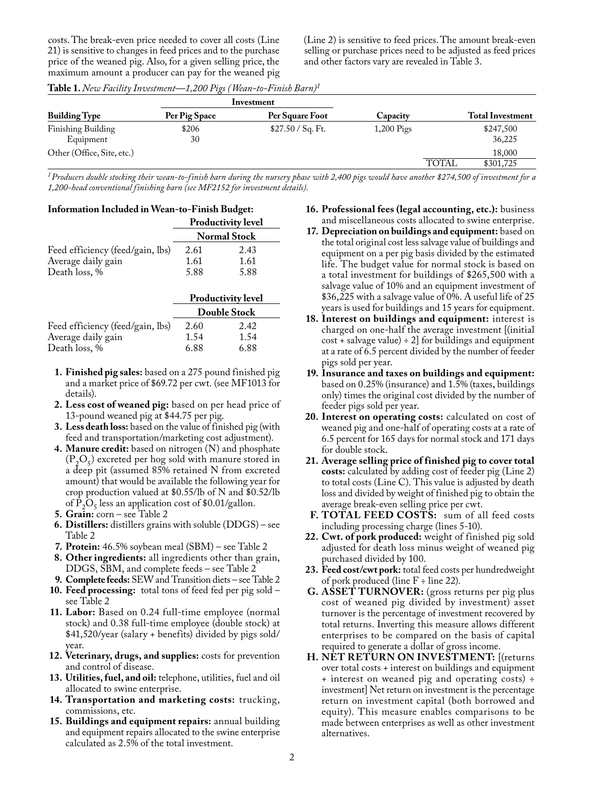costs. The break-even price needed to cover all costs (Line 21) is sensitive to changes in feed prices and to the purchase price of the weaned pig. Also, for a given selling price, the maximum amount a producer can pay for the weaned pig (Line 2) is sensitive to feed prices. The amount break-even selling or purchase prices need to be adjusted as feed prices and other factors vary are revealed in Table 3.

|                                 | Investment    |                      |              |              |                         |
|---------------------------------|---------------|----------------------|--------------|--------------|-------------------------|
| <b>Building Type</b>            | Per Pig Space | Per Square Foot      | Capacity     |              | <b>Total Investment</b> |
| Finishing Building<br>Equipment | \$206<br>30   | \$27.50 / $Sq$ . Ft. | $1,200$ Pigs |              | \$247,500<br>36,225     |
| Other (Office, Site, etc.)      |               |                      |              |              | 18,000                  |
|                                 |               |                      |              | <b>TOTAL</b> | \$301,725               |

**Table 1.** *New Facility Investment—1,200 Pigs (Wean-to-Finish Barn)1*

*1Producers double stocking their wean-to-finish barn during the nursery phase with 2,400 pigs would have another \$274,500 of investment for a 1,200-head conventional finishing barn (see MF2152 for investment details).*

| <b>Information Included in Wean-to-Finish Budget:</b> |                           |                     |  |  |  |  |
|-------------------------------------------------------|---------------------------|---------------------|--|--|--|--|
|                                                       | <b>Productivity level</b> |                     |  |  |  |  |
|                                                       |                           | <b>Normal Stock</b> |  |  |  |  |
| Feed efficiency (feed/gain, lbs)                      | 2.61                      | 2.43                |  |  |  |  |
| Average daily gain                                    | 1.61                      | 1.61                |  |  |  |  |
| Death loss, %                                         | 5.88                      | 5.88                |  |  |  |  |

|                                  | <b>Productivity level</b> |      |  |  |
|----------------------------------|---------------------------|------|--|--|
|                                  | <b>Double Stock</b>       |      |  |  |
| Feed efficiency (feed/gain, lbs) | 2.60                      | 2.42 |  |  |
| Average daily gain               | 1.54                      | 1.54 |  |  |
| Death loss, %                    | 6.88                      | 6.88 |  |  |

- **1. Finished pig sales:** based on a 275 pound finished pig and a market price of \$69.72 per cwt. (see MF1013 for details).
- **2. Less cost of weaned pig:** based on per head price of 13-pound weaned pig at \$44.75 per pig.
- **3. Less death loss:** based on the value of finished pig (with feed and transportation/marketing cost adjustment).
- **4. Manure credit:** based on nitrogen (N) and phosphate  $(P_2O_5)$  excreted per hog sold with manure stored in a deep pit (assumed 85% retained N from excreted amount) that would be available the following year for crop production valued at \$0.55/lb of N and \$0.52/lb of  $\overline{P}_2O_5$  less an application cost of \$0.01/gallon.
- **5. Grain:** corn see Table 2
- **6. Distillers:** distillers grains with soluble (DDGS) see Table 2
- **7. Protein:** 46.5% soybean meal (SBM) see Table 2
- **8. Other ingredients:** all ingredients other than grain, DDGS, SBM, and complete feeds – see Table 2
- **9. Complete feeds:** SEW and Transition diets see Table 2
- **10. Feed processing:** total tons of feed fed per pig sold see Table 2
- **11. Labor:** Based on 0.24 full-time employee (normal stock) and 0.38 full-time employee (double stock) at \$41,520/year (salary + benefits) divided by pigs sold/ year.
- **12. Veterinary, drugs, and supplies:** costs for prevention and control of disease.
- **13. Utilities, fuel, and oil:** telephone, utilities, fuel and oil allocated to swine enterprise.
- **14. Transportation and marketing costs:** trucking, commissions, etc.
- **15. Buildings and equipment repairs:** annual building and equipment repairs allocated to the swine enterprise calculated as 2.5% of the total investment.
- **16. Professional fees (legal accounting, etc.):** business and miscellaneous costs allocated to swine enterprise.
- **17. Depreciation on buildings and equipment:** based on the total original cost less salvage value of buildings and equipment on a per pig basis divided by the estimated life. The budget value for normal stock is based on a total investment for buildings of \$265,500 with a salvage value of 10% and an equipment investment of \$36,225 with a salvage value of 0%. A useful life of 25 years is used for buildings and 15 years for equipment.
- **18. Interest on buildings and equipment:** interest is charged on one-half the average investment [(initial  $cost +$  salvage value)  $\div$  2] for buildings and equipment at a rate of 6.5 percent divided by the number of feeder pigs sold per year.
- **19. Insurance and taxes on buildings and equipment:** based on 0.25% (insurance) and 1.5% (taxes, buildings only) times the original cost divided by the number of feeder pigs sold per year.
- **20. Interest on operating costs:** calculated on cost of weaned pig and one-half of operating costs at a rate of 6.5 percent for 165 days for normal stock and 171 days for double stock.
- **21. Average selling price of finished pig to cover total costs:** calculated by adding cost of feeder pig (Line 2) to total costs (Line C). This value is adjusted by death loss and divided by weight of finished pig to obtain the average break-even selling price per cwt.
- **F. TOTAL FEED COSTS:** sum of all feed costs including processing charge (lines 5-10).
- **22. Cwt. of pork produced:** weight of finished pig sold adjusted for death loss minus weight of weaned pig purchased divided by 100.
- **23. Feed cost/cwt pork:** total feed costs per hundredweight of pork produced (line  $F \div$  line 22).
- **G. ASSET TURNOVER:** (gross returns per pig plus cost of weaned pig divided by investment) asset turnover is the percentage of investment recovered by total returns. Inverting this measure allows different enterprises to be compared on the basis of capital required to generate a dollar of gross income.
- **H. NET RETURN ON INVESTMENT:** [(returns over total costs + interest on buildings and equipment + interest on weaned pig and operating costs) ÷ investment] Net return on investment is the percentage return on investment capital (both borrowed and equity). This measure enables comparisons to be made between enterprises as well as other investment alternatives.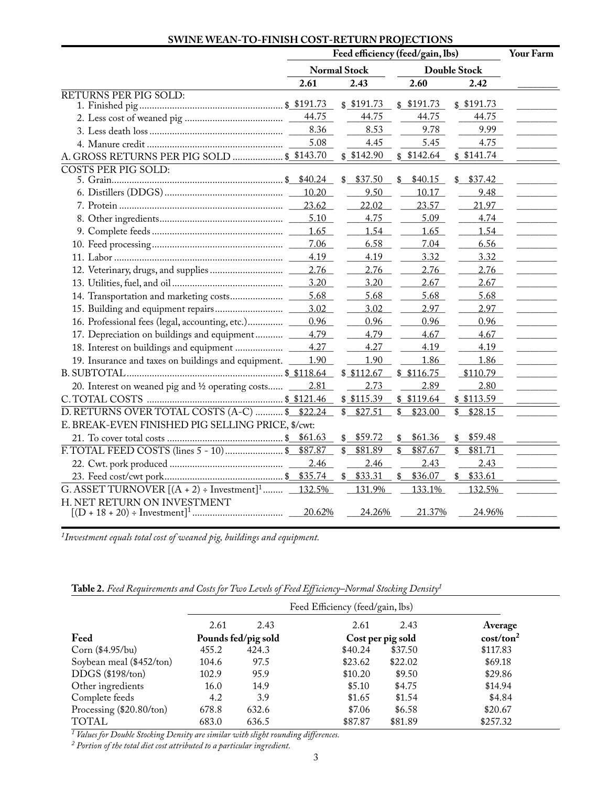## **SWINE WEAN-TO-FINISH COST-RETURN PROJECTIONS**

|                                                        | Feed efficiency (feed/gain, lbs) |    |                     |    |                     |    | Your Farm |  |
|--------------------------------------------------------|----------------------------------|----|---------------------|----|---------------------|----|-----------|--|
|                                                        | <b>Normal Stock</b>              |    |                     |    | <b>Double Stock</b> |    |           |  |
|                                                        | 2.61                             |    | 2.43                |    | 2.60                |    | 2.42      |  |
| <b>RETURNS PER PIG SOLD:</b>                           |                                  |    |                     |    |                     |    |           |  |
|                                                        |                                  |    | \$191.73            |    | \$191.73            |    | \$191.73  |  |
|                                                        | 44.75                            |    | 44.75               |    | 44.75               |    | 44.75     |  |
|                                                        | 8.36                             |    | 8.53                |    | 9.78                |    | 9.99      |  |
|                                                        | 5.08                             |    | 4.45                |    | 5.45                |    | 4.75      |  |
| A. GROSS RETURNS PER PIG SOLD  \$ \$143.70             |                                  |    | \$142.90            |    | \$142.64            |    | \$141.74  |  |
| <b>COSTS PER PIG SOLD:</b>                             |                                  |    |                     |    |                     |    |           |  |
|                                                        | \$40.24                          | \$ | \$37.50             | \$ | \$40.15             |    | \$37.42   |  |
|                                                        | 10.20                            |    | 9.50                |    | 10.17               |    | 9.48      |  |
|                                                        | 23.62                            |    | 22.02               |    | 23.57               |    | 21.97     |  |
|                                                        | 5.10                             |    | 4.75                |    | 5.09                |    | 4.74      |  |
|                                                        | 1.65                             |    | 1.54                |    | 1.65                |    | 1.54      |  |
|                                                        | 7.06                             |    | 6.58                |    | 7.04                |    | 6.56      |  |
|                                                        | 4.19                             |    | 4.19                |    | 3.32                |    | 3.32      |  |
|                                                        | 2.76                             |    | 2.76                |    | 2.76                |    | 2.76      |  |
|                                                        | 3.20                             |    | 3.20                |    | 2.67                |    | 2.67      |  |
|                                                        | 5.68                             |    | 5.68                |    | 5.68                |    | 5.68      |  |
|                                                        | 3.02                             |    | 3.02                |    | 2.97                |    | 2.97      |  |
|                                                        | 0.96                             |    | 0.96                |    | 0.96                |    | 0.96      |  |
| 17. Depreciation on buildings and equipment            | 4.79                             |    | 4.79                |    | 4.67                |    | 4.67      |  |
|                                                        | 4.27                             |    | 4.27                |    | 4.19                |    | 4.19      |  |
| 19. Insurance and taxes on buildings and equipment. _  | 1.90                             |    | 1.90                |    | 1.86                |    | 1.86      |  |
|                                                        |                                  |    | \$112.67            |    | \$116.75            |    | \$110.79  |  |
| 20. Interest on weaned pig and 1/2 operating costs     | 2.81                             |    | 2.73                |    | 2.89                |    | 2.80      |  |
|                                                        |                                  |    | \$115.39            |    | \$119.64            |    | \$113.59  |  |
| D. RETURNS OVER TOTAL COSTS (A-C)  \$ \$22.24          |                                  | \$ | $\overline{$27.51}$ | \$ | \$23.00             | \$ | \$28.15   |  |
| E. BREAK-EVEN FINISHED PIG SELLING PRICE, \$/cwt:      |                                  |    |                     |    |                     |    |           |  |
|                                                        | \$61.63                          | \$ | \$59.72             | \$ | \$61.36             | \$ | \$59.48   |  |
|                                                        | \$87.87                          | \$ | \$81.89             | \$ | \$87.67             | \$ | \$81.71   |  |
|                                                        | 2.46                             |    | 2.46                |    | 2.43                |    | 2.43      |  |
|                                                        | \$35.74                          |    | \$33.31             |    | \$36.07             |    | \$33.61   |  |
| G. ASSET TURNOVER $[(A + 2) \div \text{Investment}]^1$ | 132.5%                           |    | 131.9%              |    | 133.1%              |    | 132.5%    |  |
| H. NET RETURN ON INVESTMENT                            |                                  |    |                     |    |                     |    |           |  |
|                                                        | 20.62%                           |    | 24.26%              |    | 21.37%              |    | 24.96%    |  |

*1Investment equals total cost of weaned pig, buildings and equipment.*

| Table 2. Feed Requirements and Costs for Two Levels of Feed Efficiency–Normal Stocking Density <sup>1</sup> |  |  |
|-------------------------------------------------------------------------------------------------------------|--|--|
|-------------------------------------------------------------------------------------------------------------|--|--|

|                          | Feed Efficiency (feed/gain, lbs) |                     |         |                   |                       |  |
|--------------------------|----------------------------------|---------------------|---------|-------------------|-----------------------|--|
|                          | 2.61                             | 2.43                | 2.61    | 2.43              | Average               |  |
| Feed                     |                                  | Pounds fed/pig sold |         | Cost per pig sold | cost/ton <sup>2</sup> |  |
| Corn (\$4.95/bu)         | 455.2                            | 424.3               | \$40.24 | \$37.50           | \$117.83              |  |
| Soybean meal (\$452/ton) | 104.6                            | 97.5                | \$23.62 | \$22.02           | \$69.18               |  |
| $DDGS$ (\$198/ton)       | 102.9                            | 95.9                | \$10.20 | \$9.50            | \$29.86               |  |
| Other ingredients        | 16.0                             | 14.9                | \$5.10  | \$4.75            | \$14.94               |  |
| Complete feeds           | 4.2                              | 3.9                 | \$1.65  | \$1.54            | \$4.84                |  |
| Processing (\$20.80/ton) | 678.8                            | 632.6               | \$7.06  | \$6.58            | \$20.67               |  |
| <b>TOTAL</b>             | 683.0                            | 636.5               | \$87.87 | \$81.89           | \$257.32              |  |

*1 Values for Double Stocking Density are similar with slight rounding differences.*

*2 Portion of the total diet cost attributed to a particular ingredient.*